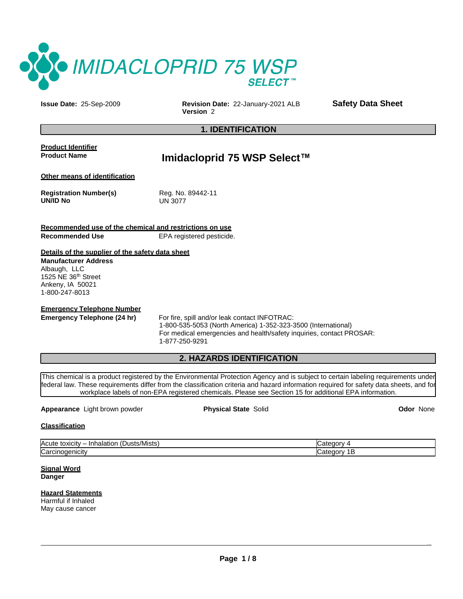

**Issue Date:** 25-Sep-2009 **Revision Date:** 22-January-2021 ALB **Safety Data Sheet Version** 2

## **1. IDENTIFICATION**

**Product Identifier Product Name**

# **Imidacloprid 75 WSP Select™**

**Other means of identification**

**Registration Number(s) UN/ID No**

Reg. No. 89442-11 UN 3077

**Recommended use of the chemical and restrictions on use Recommended Use** EPA registered pesticide.

## **Details of the supplier of the safety data sheet**

**Manufacturer Address** Albaugh, LLC 1525 NE 36th Street Ankeny, IA 50021 1-800-247-8013

**Emergency Telephone Number**

**Emergency Telephone (24 hr)** For fire, spill and/or leak contact INFOTRAC: 1-800-535-5053 (North America) 1-352-323-3500 (International) For medical emergencies and health/safety inquiries, contact PROSAR: 1-877-250-9291

## **2. HAZARDS IDENTIFICATION**

This chemical is a product registered by the Environmental Protection Agency and is subject to certain labeling requirements under federal law. These requirements differ from the classification criteria and hazard information required for safety data sheets, and for workplace labels of non-EPA registered chemicals. Please see Section 15 for additional EPA information.

## **Appearance** Light brown powder **Physical State** Solid **Odor** None

\_

**Classification**

| $\mathbf{r}$ .<br>Acute<br>usts/Mists)<br>toxicity<br>٠н.<br>шаа | ╭ |
|------------------------------------------------------------------|---|
| $\sim$<br>enicity<br>vai<br>vu<br>$\sim$                         | œ |

**Signal Word Danger**

## **Hazard Statements** Harmful if Inhaled

May cause cancer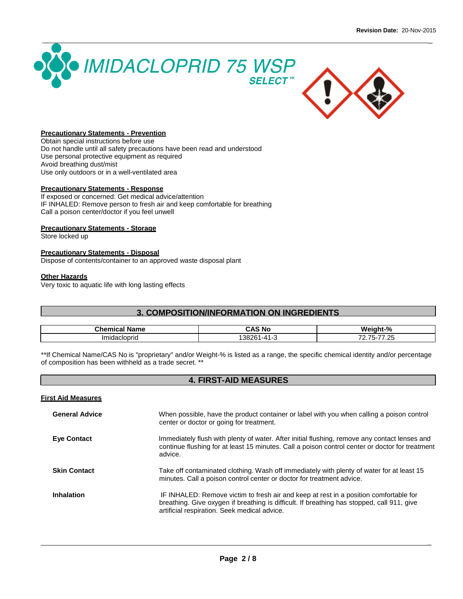\_





## **Precautionary Statements - Prevention**

Obtain special instructions before use Do not handle until all safety precautions have been read and understood Use personal protective equipment as required Avoid breathing dust/mist Use only outdoors or in a well-ventilated area

## **Precautionary Statements - Response**

If exposed or concerned: Get medical advice/attention IF INHALED: Remove person to fresh air and keep comfortable for breathing Call a poison center/doctor if you feel unwell

## **Precautionary Statements - Storage**

Store locked up

## **Precautionary Statements - Disposal**

Dispose of contents/container to an approved waste disposal plant

#### **Other Hazards**

Very toxic to aquatic life with long lasting effects

## **3. COMPOSITION/INFORMATION ON INGREDIENTS**

| Chem.<br>$\sim$<br>41 I I C | . .<br>$\cdot$ n<br>៍ Nc<br>$\overline{\phantom{a}}$ | $\mathbf{a}$<br>70 |
|-----------------------------|------------------------------------------------------|--------------------|
| .                           | .<br>.30                                             | $\sim$             |

\*\*If Chemical Name/CAS No is "proprietary" and/or Weight-% is listed as a range, the specific chemical identity and/or percentage of composition has been withheld as a trade secret. \*\*

## **4. FIRST-AID MEASURES**

## **First Aid Measures**

| <b>General Advice</b> | When possible, have the product container or label with you when calling a poison control<br>center or doctor or going for treatment.                                                                                               |
|-----------------------|-------------------------------------------------------------------------------------------------------------------------------------------------------------------------------------------------------------------------------------|
| <b>Eve Contact</b>    | Immediately flush with plenty of water. After initial flushing, remove any contact lenses and<br>continue flushing for at least 15 minutes. Call a poison control center or doctor for treatment<br>advice.                         |
| <b>Skin Contact</b>   | Take off contaminated clothing. Wash off immediately with plenty of water for at least 15<br>minutes. Call a poison control center or doctor for treatment advice.                                                                  |
| <b>Inhalation</b>     | IF INHALED: Remove victim to fresh air and keep at rest in a position comfortable for<br>breathing. Give oxygen if breathing is difficult. If breathing has stopped, call 911, give<br>artificial respiration. Seek medical advice. |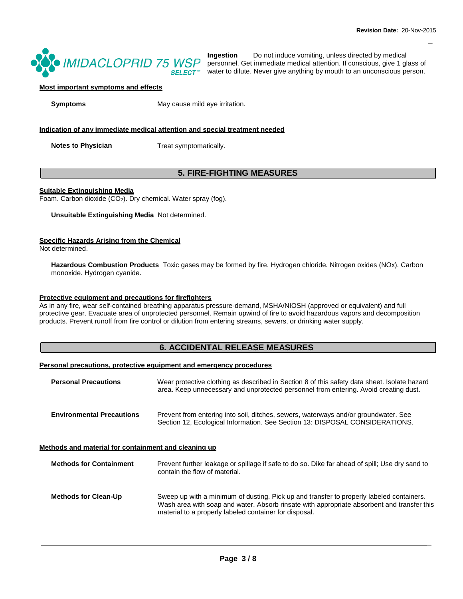\_



**Ingestion** Do not induce vomiting, unless directed by medical personnel. Get immediate medical attention. If conscious, give 1 glass of water to dilute. Never give anything by mouth to an unconscious person.

## **Most important symptoms and effects**

**Symptoms** May cause mild eye irritation.

## **Indication of any immediate medical attention and special treatment needed**

**Notes to Physician** Treat symptomatically.

## **5. FIRE-FIGHTING MEASURES**

#### **Suitable Extinguishing Media**

Foam. Carbon dioxide (CO<sub>2</sub>). Dry chemical. Water spray (fog).

**Unsuitable Extinguishing Media** Not determined.

## **Specific Hazards Arising from the Chemical**

Not determined.

**Hazardous Combustion Products** Toxic gases may be formed by fire. Hydrogen chloride. Nitrogen oxides (NOx). Carbon monoxide. Hydrogen cyanide.

## **Protective equipment and precautions for firefighters**

As in any fire, wear self-contained breathing apparatus pressure-demand, MSHA/NIOSH (approved or equivalent) and full protective gear. Evacuate area of unprotected personnel. Remain upwind of fire to avoid hazardous vapors and decomposition products. Prevent runoff from fire control or dilution from entering streams, sewers, or drinking water supply.

## **6. ACCIDENTAL RELEASE MEASURES**

#### **Personal precautions, protective equipment and emergency procedures**

| <b>Personal Precautions</b>      | Wear protective clothing as described in Section 8 of this safety data sheet. Isolate hazard<br>area. Keep unnecessary and unprotected personnel from entering. Avoid creating dust. |
|----------------------------------|--------------------------------------------------------------------------------------------------------------------------------------------------------------------------------------|
| <b>Environmental Precautions</b> | Prevent from entering into soil, ditches, sewers, waterways and/or groundwater. See<br>Section 12, Ecological Information. See Section 13: DISPOSAL CONSIDERATIONS.                  |

## **Methods and material for containment and cleaning up**

| <b>Methods for Containment</b> | Prevent further leakage or spillage if safe to do so. Dike far ahead of spill; Use dry sand to<br>contain the flow of material.                                                                                                                  |
|--------------------------------|--------------------------------------------------------------------------------------------------------------------------------------------------------------------------------------------------------------------------------------------------|
| <b>Methods for Clean-Up</b>    | Sweep up with a minimum of dusting. Pick up and transfer to properly labeled containers.<br>Wash area with soap and water. Absorb rinsate with appropriate absorbent and transfer this<br>material to a properly labeled container for disposal. |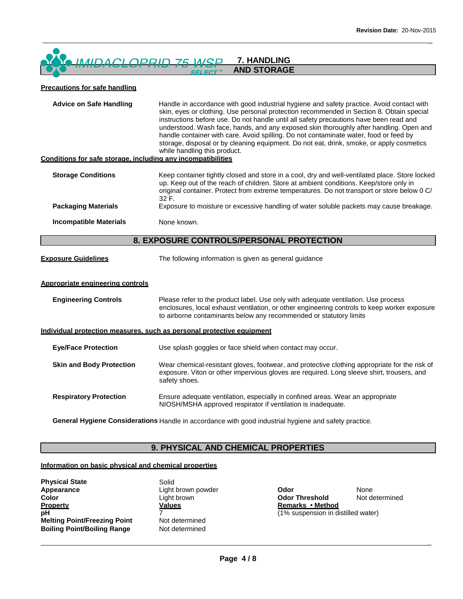#### OPRID 75 WSP **7. HANDLING**  $IMIDACI$ **AND STORAGE**

## **Precautions for safe handling**

| <b>Advice on Safe Handling</b><br>Conditions for safe storage, including any incompatibilities | Handle in accordance with good industrial hygiene and safety practice. Avoid contact with<br>skin, eyes or clothing. Use personal protection recommended in Section 8. Obtain special<br>instructions before use. Do not handle until all safety precautions have been read and<br>understood. Wash face, hands, and any exposed skin thoroughly after handling. Open and<br>handle container with care. Avoid spilling. Do not contaminate water, food or feed by<br>storage, disposal or by cleaning equipment. Do not eat, drink, smoke, or apply cosmetics<br>while handling this product. |
|------------------------------------------------------------------------------------------------|------------------------------------------------------------------------------------------------------------------------------------------------------------------------------------------------------------------------------------------------------------------------------------------------------------------------------------------------------------------------------------------------------------------------------------------------------------------------------------------------------------------------------------------------------------------------------------------------|
|                                                                                                |                                                                                                                                                                                                                                                                                                                                                                                                                                                                                                                                                                                                |
| <b>Storage Conditions</b>                                                                      | Keep container tightly closed and store in a cool, dry and well-ventilated place. Store locked<br>up. Keep out of the reach of children. Store at ambient conditions. Keep/store only in<br>original container. Protect from extreme temperatures. Do not transport or store below 0 C/<br>32 F.                                                                                                                                                                                                                                                                                               |
| <b>Packaging Materials</b>                                                                     | Exposure to moisture or excessive handling of water soluble packets may cause breakage.                                                                                                                                                                                                                                                                                                                                                                                                                                                                                                        |
| <b>Incompatible Materials</b>                                                                  | None known.                                                                                                                                                                                                                                                                                                                                                                                                                                                                                                                                                                                    |
|                                                                                                | 8. EXPOSURE CONTROLS/PERSONAL PROTECTION                                                                                                                                                                                                                                                                                                                                                                                                                                                                                                                                                       |
| <b>Exposure Guidelines</b>                                                                     | The following information is given as general guidance                                                                                                                                                                                                                                                                                                                                                                                                                                                                                                                                         |
| Appropriate engineering controls                                                               |                                                                                                                                                                                                                                                                                                                                                                                                                                                                                                                                                                                                |
| <b>Engineering Controls</b>                                                                    | Please refer to the product label. Use only with adequate ventilation. Use process<br>enclosures, local exhaust ventilation, or other engineering controls to keep worker exposure<br>to airborne contaminants below any recommended or statutory limits                                                                                                                                                                                                                                                                                                                                       |
|                                                                                                | Individual protection measures, such as personal protective equipment                                                                                                                                                                                                                                                                                                                                                                                                                                                                                                                          |
| <b>Eye/Face Protection</b>                                                                     | Use splash goggles or face shield when contact may occur.                                                                                                                                                                                                                                                                                                                                                                                                                                                                                                                                      |
| <b>Skin and Body Protection</b>                                                                | Wear chemical-resistant gloves, footwear, and protective clothing appropriate for the risk of<br>exposure. Viton or other impervious gloves are required. Long sleeve shirt, trousers, and<br>safety shoes.                                                                                                                                                                                                                                                                                                                                                                                    |
| <b>Respiratory Protection</b>                                                                  | Ensure adequate ventilation, especially in confined areas. Wear an appropriate<br>NIOSH/MSHA approved respirator if ventilation is inadequate.                                                                                                                                                                                                                                                                                                                                                                                                                                                 |
|                                                                                                | General Hygiene Considerations Handle in accordance with good industrial hygiene and safety practice.                                                                                                                                                                                                                                                                                                                                                                                                                                                                                          |

## **9. PHYSICAL AND CHEMICAL PROPERTIES**

## **Information on basic physical and chemical properties**

| <b>Physical State</b>               | S  |
|-------------------------------------|----|
| Appearance                          | Ιi |
| <b>Color</b>                        | Ιi |
| <b>Property</b>                     | V  |
| pН                                  |    |
| <b>Melting Point/Freezing Point</b> | N  |
| <b>Boiling Point/Boiling Range</b>  | N  |

Solid ight brown **Values** Not determined **Rot** determined

**Light brown powder Contract Contract Contract Contract Contract Contract Contract Contract Contract Contract Contract Contract Contract Contract Contract Contract Contract Contract Contract Contract Contract Contract Cont Odor Threshold Remarks • Method** Not determined (1% suspension in distilled water)

\_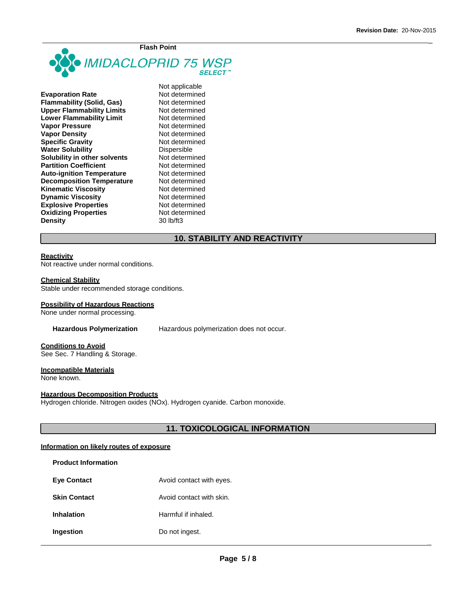\_



| <b>Evaporation Rate</b>          |
|----------------------------------|
| <b>Flammability (Solid, Gas)</b> |
| <b>Upper Flammability Limits</b> |
| <b>Lower Flammability Limit</b>  |
| <b>Vapor Pressure</b>            |
| <b>Vapor Density</b>             |
| <b>Specific Gravity</b>          |
| <b>Water Solubility</b>          |
| Solubility in other solvents     |
| <b>Partition Coefficient</b>     |
| <b>Auto-ignition Temperature</b> |
| <b>Decomposition Temperature</b> |
| <b>Kinematic Viscosity</b>       |
| <b>Dynamic Viscosity</b>         |
| <b>Explosive Properties</b>      |
| <b>Oxidizing Properties</b>      |
| <b>Density</b>                   |

Not applicable **Not determined Flammability (Solid, Gas)** Not determined **Not determined Not determined Not determined Not determined Not determined Dispersible Not determined Not determined Not determined Not determined Not determined Not determined Not determined Not determined Density** 30 lb/ft3

## **10. STABILITY AND REACTIVITY**

## **Reactivity**

Not reactive under normal conditions.

#### **Chemical Stability**

Stable under recommended storage conditions.

#### **Possibility of Hazardous Reactions**

None under normal processing.

**Hazardous Polymerization** Hazardous polymerization does not occur.

#### **Conditions to Avoid** See Sec. 7 Handling & Storage.

## **Incompatible Materials**

None known.

## **Hazardous Decomposition Products**

Hydrogen chloride. Nitrogen oxides (NOx). Hydrogen cyanide. Carbon monoxide.

## **11. TOXICOLOGICAL INFORMATION**

#### **Information on likely routes of exposure**

| <b>Product Information</b> |                          |
|----------------------------|--------------------------|
| <b>Eve Contact</b>         | Avoid contact with eyes. |
| <b>Skin Contact</b>        | Avoid contact with skin. |
| <b>Inhalation</b>          | Harmful if inhaled.      |
| Ingestion                  | Do not ingest.           |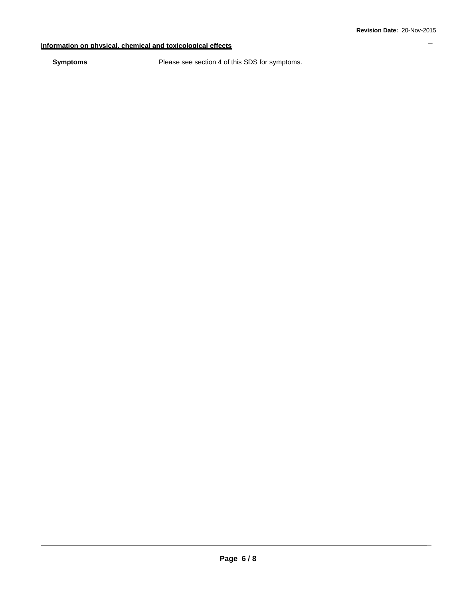\_

## **Information on physical, chemical and toxicological effects**

**Symptoms** Please see section 4 of this SDS for symptoms.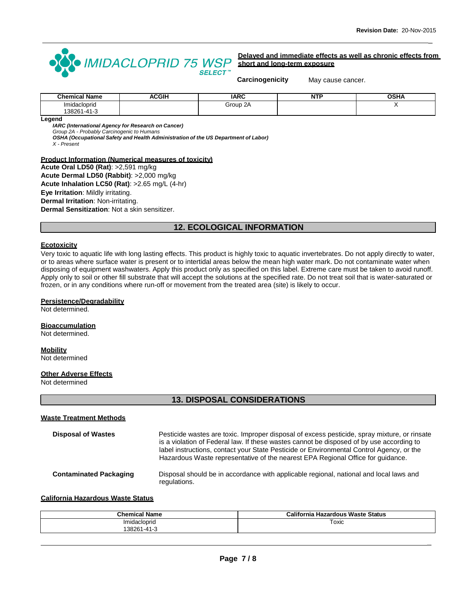\_



**Delayed and immediate effects as well as chronic effects from short and long-term exposure**

**Carcinogenicity** May cause cancer.

| <b>Chemical Name</b>   | <b>ACGIH</b> | <b>IARC</b> | <b>NTI</b> | <b>OSHA</b> |
|------------------------|--------------|-------------|------------|-------------|
| Imidacloprid           |              | Group 2A    |            |             |
| $1 - 41 - 3$<br>138261 |              |             |            |             |
|                        |              |             |            |             |

**Legend**

*IARC (International Agency for Research on Cancer)*

*Group 2A - Probably Carcinogenic to Humans*

*OSHA (Occupational Safety and Health Administration of the US Department of Labor) X - Present*

#### **Product Information (Numerical measures of toxicity)**

**Acute Oral LD50 (Rat)**: >2,591 mg/kg **Acute Dermal LD50 (Rabbit)**: >2,000 mg/kg **Acute Inhalation LC50 (Rat)**: >2.65 mg/L (4-hr) **Eye Irritation**: Mildly irritating. **Dermal Irritation**: Non-irritating. **Dermal Sensitization**: Not a skin sensitizer.

## **12. ECOLOGICAL INFORMATION**

## **Ecotoxicity**

Very toxic to aquatic life with long lasting effects. This product is highly toxic to aquatic invertebrates. Do not apply directly to water, or to areas where surface water is present or to intertidal areas below the mean high water mark. Do not contaminate water when disposing of equipment washwaters. Apply this product only as specified on this label. Extreme care must be taken to avoid runoff. Apply only to soil or other fill substrate that will accept the solutions at the specified rate. Do not treat soil that is water-saturated or frozen, or in any conditions where run-off or movement from the treated area (site) is likely to occur.

#### **Persistence/Degradability**

Not determined.

#### **Bioaccumulation**

Not determined.

## **Mobility**

Not determined

## **Other Adverse Effects**

Not determined

## **13. DISPOSAL CONSIDERATIONS**

## **Waste Treatment Methods**

| <b>Disposal of Wastes</b> | Pesticide wastes are toxic. Improper disposal of excess pesticide, spray mixture, or rinsate<br>is a violation of Federal law. If these wastes cannot be disposed of by use according to<br>label instructions, contact your State Pesticide or Environmental Control Agency, or the<br>Hazardous Waste representative of the nearest EPA Regional Office for guidance. |
|---------------------------|-------------------------------------------------------------------------------------------------------------------------------------------------------------------------------------------------------------------------------------------------------------------------------------------------------------------------------------------------------------------------|
| Contaminated Baskaning    | Disabal abaulaha ing sasandanan ulik panilaakta nanjang tahun lang tahun termatan d                                                                                                                                                                                                                                                                                     |

**Contaminated Packaging** Disposal should be in accordance with applicable regional, national and local laws and regulations.

**California Hazardous Waste Status**

| <b>Chemical Name</b> | <b>California Hazardous Waste Status</b> |
|----------------------|------------------------------------------|
| Imidacloprid         | Toxic                                    |
| 38261<br>1-41-3      |                                          |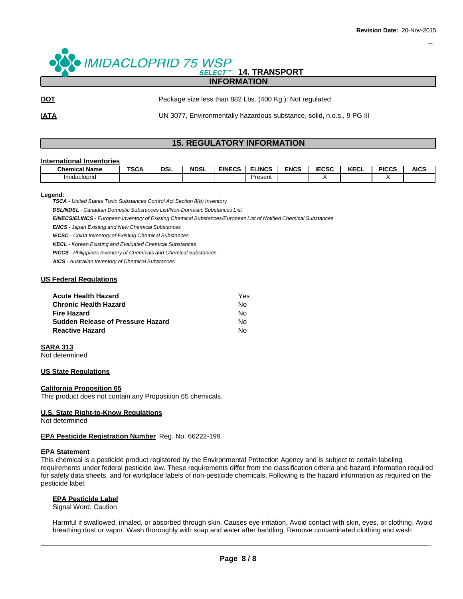\_

#### · IMIDACLOPRID 75 WSP **14. TRANSPORT SELECT™ INFORMATION**

**DOT** Package size less than 882 Lbs. (400 Kg.): Not regulated

**IATA IDEA** UN 3077, Environmentally hazardous substance, solid, n.o.s., 9 PG III

## **15. REGULATORY INFORMATION**

#### **International Inventories**

| ' Name<br>Chemical  | <b>TCOA</b><br>งษศ | DSL | <b>NDSL</b> | <b>EINECS</b> | <b>ELINCS</b> | <b>ENCS</b> | <b>IECSC</b> | $2F^{\prime}$<br><b>NEVL</b> | <b>PICCS</b> | <b>AICS</b> |
|---------------------|--------------------|-----|-------------|---------------|---------------|-------------|--------------|------------------------------|--------------|-------------|
| <b>Imidacioprid</b> |                    |     |             |               | Present       |             |              |                              |              |             |

#### **Legend:**

*TSCA - United States Toxic Substances Control Act Section 8(b) Inventory*

*DSL/NDSL - Canadian Domestic Substances List/Non-Domestic Substances List*

*EINECS/ELINCS - European Inventory of Existing Chemical Substances/European List of Notified Chemical Substances*

*ENCS - Japan Existing and New Chemical Substances* 

*IECSC - China Inventory of Existing Chemical Substances* 

*KECL - Korean Existing and Evaluated Chemical Substances*

*PICCS - Philippines Inventory of Chemicals and Chemical Substances*

*AICS - Australian Inventory of Chemical Substances*

## **US Federal Regulations**

| <b>Acute Health Hazard</b>               | Yes |
|------------------------------------------|-----|
| <b>Chronic Health Hazard</b>             | N٥  |
| <b>Fire Hazard</b>                       | No. |
| <b>Sudden Release of Pressure Hazard</b> | N٥  |
| <b>Reactive Hazard</b>                   | N٥  |

#### **SARA 313**

Not determined

## **US State Regulations**

#### **California Proposition 65**

This product does not contain any Proposition 65 chemicals.

#### **U.S. State Right-to-Know Regulations**

Not determined

#### **EPA Pesticide Registration Number** Reg. No. 66222-199

#### **EPA Statement**

This chemical is a pesticide product registered by the Environmental Protection Agency and is subject to certain labeling requirements under federal pesticide law. These requirements differ from the classification criteria and hazard information required for safety data sheets, and for workplace labels of non-pesticide chemicals. Following is the hazard information as required on the pesticide label:

## **EPA Pesticide Label**

Signal Word: Caution

Harmful if swallowed, inhaled, or absorbed through skin. Causes eye irritation. Avoid contact with skin, eyes, or clothing. Avoid breathing dust or vapor. Wash thoroughly with soap and water after handling. Remove contaminated clothing and wash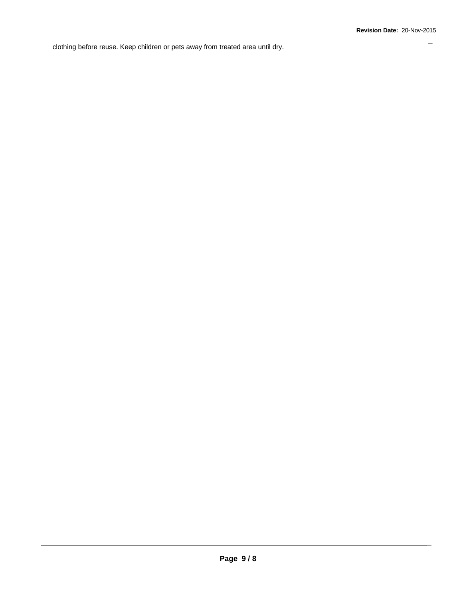\_

clothing before reuse. Keep children or pets away from treated area until dry.